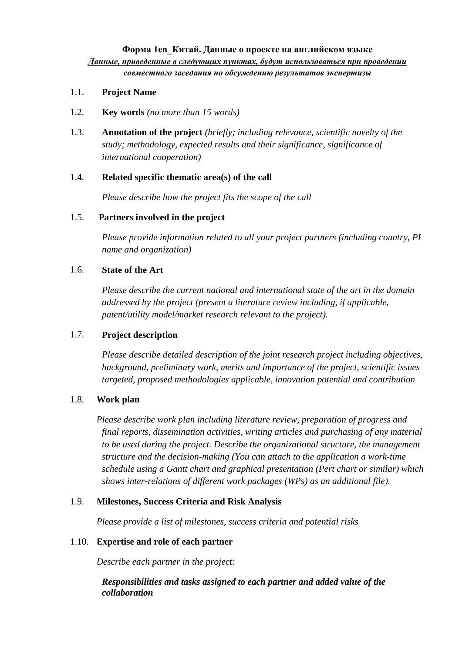- 1.1. **Project Name**
- 1.2. **Key words** *(no more than 15 words)*
- 1.3. **Annotation of the project** *(briefly; including relevance, scientific novelty of the study; methodology, expected results and their significance, significance of international cooperation)*

### 1.4. **Related specific thematic area(s) of the call**

*Please describe how the project fits the scope of the call*

### 1.5. **Partners involved in the project**

*Please provide information related to all your project partners (including country, PI name and organization)*

#### 1.6. **State of the Art**

*Please describe the current national and international state of the art in the domain addressed by the project (present a literature review including, if applicable, patent/utility model/market research relevant to the project).*

### 1.7. **Project description**

*Please describe detailed description of the joint research project including objectives, background, preliminary work, merits and importance of the project, scientific issues targeted, proposed methodologies applicable, innovation potential and contribution*

### 1.8. **Work plan**

*Please describe work plan including literature review, preparation of progress and final reports, dissemination activities, writing articles and purchasing of any material to be used during the project. Describe the organizational structure, the management structure and the decision-making (You can attach to the application a work-time schedule using a Gantt chart and graphical presentation (Pert chart or similar) which shows inter-relations of different work packages (WPs) as an additional file).*

### 1.9. **Milestones, Success Criteria and Risk Analysis**

*Please provide a list of milestones, success criteria and potential risks*

### 1.10. **Expertise and role of each partner**

*Describe each partner in the project:*

*a) Responsibilities and tasks assigned to each partner and added value of the collaboration*